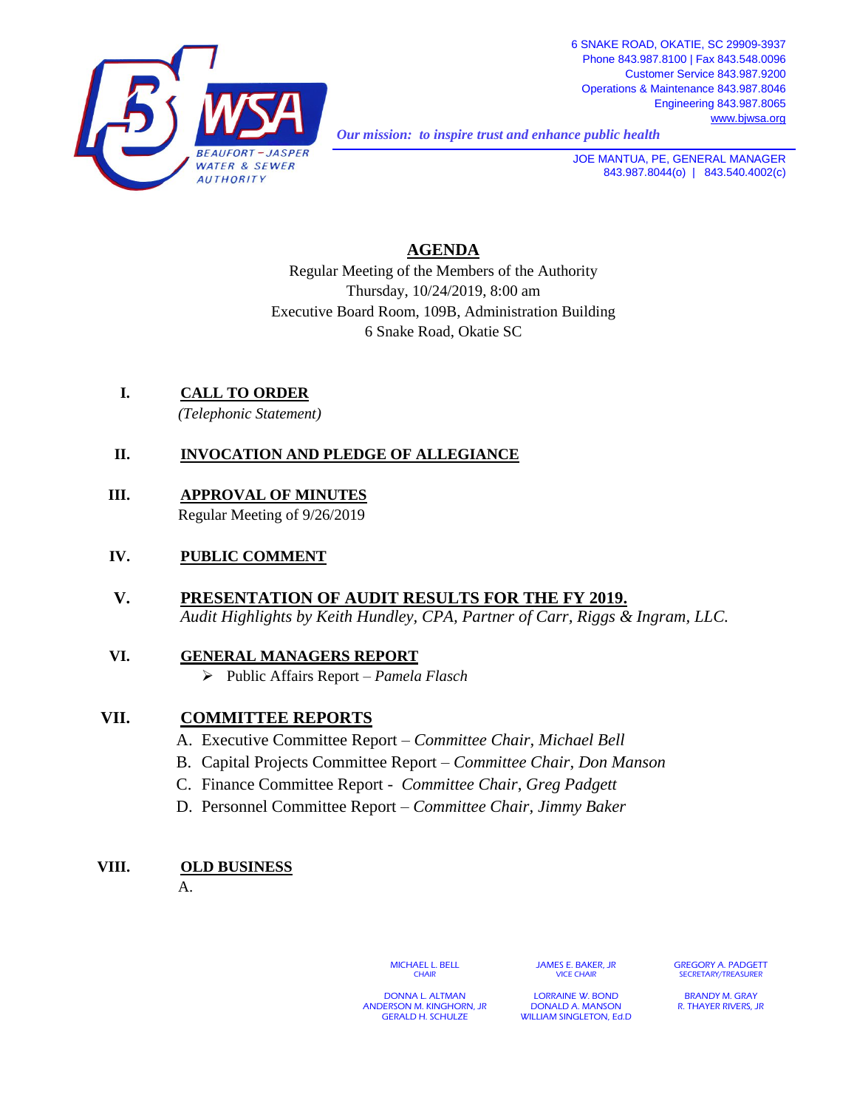

*Our mission: to inspire trust and enhance public health* 

**JOE MANTUA, PE, GENERAL MANAGER** 843.987.8044(o) | 843.540.4002(c)

## **AGENDA**

Regular Meeting of the Members of the Authority Thursday, 10/24/2019, 8:00 am Executive Board Room, 109B, Administration Building 6 Snake Road, Okatie SC

**I. CALL TO ORDER** *(Telephonic Statement)*

## **II. INVOCATION AND PLEDGE OF ALLEGIANCE**

**III. APPROVAL OF MINUTES** Regular Meeting of 9/26/2019

#### **IV. PUBLIC COMMENT**

**V. PRESENTATION OF AUDIT RESULTS FOR THE FY 2019.** *Audit Highlights by Keith Hundley, CPA, Partner of Carr, Riggs & Ingram, LLC.*

# **VI. GENERAL MANAGERS REPORT**

Public Affairs Report – *Pamela Flasch*

### **VII. COMMITTEE REPORTS**

- A. Executive Committee Report *Committee Chair, Michael Bell*
- B. Capital Projects Committee Report *Committee Chair, Don Manson*
- C. Finance Committee Report *Committee Chair*, *Greg Padgett*
- D. Personnel Committee Report *Committee Chair, Jimmy Baker*

### **VIII. OLD BUSINESS**

A.

MICHAEL L. BELL **CHAIR** 

JAMES E. BAKER, JR VICE CHAIR

GREGORY A. PADGETT SECRETARY/TREASURE

DONNA L. ALTMAN ANDERSON M. KINGHORN, JR GERALD H. SCHULZE

LORRAINE W. BOND DONALD A. MANSON WILLIAM SINGLETON, Ed.D.

BRANDY M. GRAY R. THAYER RIVERS, JR